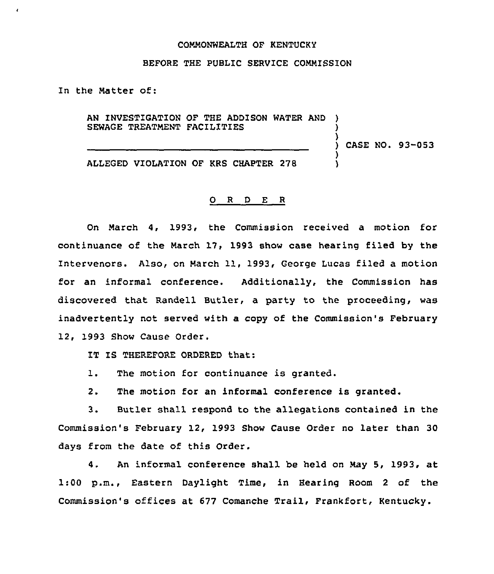## COMMONWEALTH OF KENTUCKY

## BEFORE THE PUBLIC SERVICE COMMISSION

In the Matter of:

AN INVESTIGATION OF THE ADDISON WATER AND SEWAGE TREATMENT FACILITIES

) CASE NO. 93-053

)

)

ALLEGED VIOLATION OF KRS CHAPTER 278

## 0 <sup>R</sup> <sup>D</sup> E R

On March 4, 1993, the Commission received a motion for continuance of the March 17> 1993 show case hearing filed by the Intervenors. Also, on March 11, 1993, George Lucas filed a motion for an informal conference. Additionally, the Commission has discovered that Randell Butler, a party to the proceeding, was inadvertently not served with a copy of the Commission's February 12, 1993 Show Cause Order.

IT IS THEREFORE ORDERED that:

1. The motion for continuance is granted.

2. The motion for an informal conference is granted.

3. Butler shall respond to the allegations contained in the Commission's February 12, 1993 Show Cause Order no later than 30 days from the date of this Order.

4. An informal conference shall be held on May 5, 1993, at 1:00 p.m., Eastern Daylight Time, in Bearing Room <sup>2</sup> of the Commission's offices at 677 Comanche Trail, Frankfort, Kentucky.